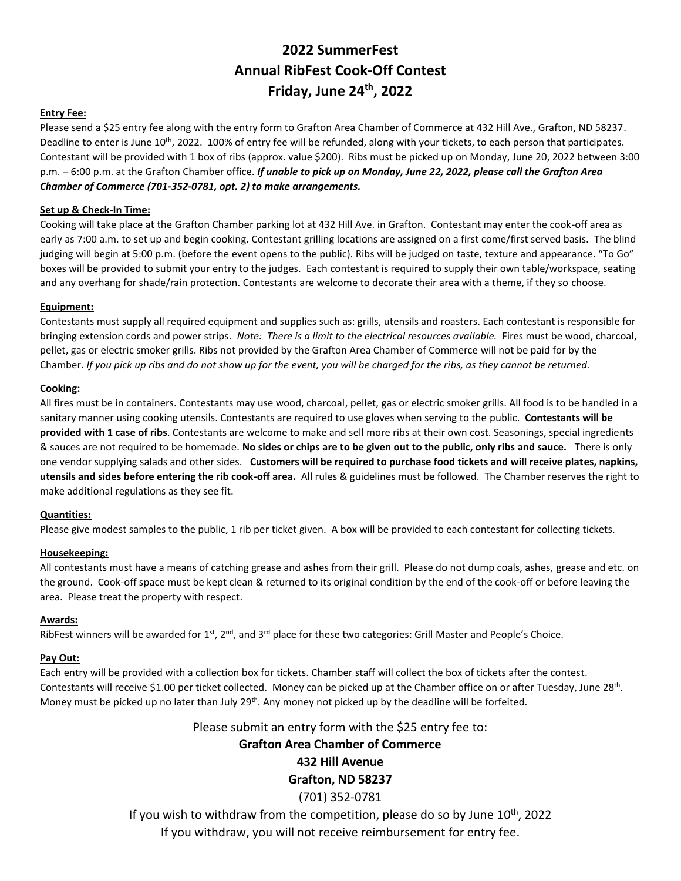## **2022 SummerFest Annual RibFest Cook-Off Contest Friday, June 24 th, 2022**

#### **Entry Fee:**

Please send a \$25 entry fee along with the entry form to Grafton Area Chamber of Commerce at 432 Hill Ave., Grafton, ND 58237. Deadline to enter is June 10<sup>th</sup>, 2022. 100% of entry fee will be refunded, along with your tickets, to each person that participates. Contestant will be provided with 1 box of ribs (approx. value \$200). Ribs must be picked up on Monday, June 20, 2022 between 3:00 p.m. – 6:00 p.m. at the Grafton Chamber office. *If unable to pick up on Monday, June 22, 2022, please call the Grafton Area Chamber of Commerce (701-352-0781, opt. 2) to make arrangements.*

#### **Set up & Check-In Time:**

Cooking will take place at the Grafton Chamber parking lot at 432 Hill Ave. in Grafton. Contestant may enter the cook-off area as early as 7:00 a.m. to set up and begin cooking. Contestant grilling locations are assigned on a first come/first served basis. The blind judging will begin at 5:00 p.m. (before the event opens to the public). Ribs will be judged on taste, texture and appearance. "To Go" boxes will be provided to submit your entry to the judges. Each contestant is required to supply their own table/workspace, seating and any overhang for shade/rain protection. Contestants are welcome to decorate their area with a theme, if they so choose.

#### **Equipment:**

Contestants must supply all required equipment and supplies such as: grills, utensils and roasters. Each contestant is responsible for bringing extension cords and power strips. *Note: There is a limit to the electrical resources available.* Fires must be wood, charcoal, pellet, gas or electric smoker grills. Ribs not provided by the Grafton Area Chamber of Commerce will not be paid for by the Chamber. *If you pick up ribs and do not show up for the event, you will be charged for the ribs, as they cannot be returned.*

#### **Cooking:**

All fires must be in containers. Contestants may use wood, charcoal, pellet, gas or electric smoker grills. All food is to be handled in a sanitary manner using cooking utensils. Contestants are required to use gloves when serving to the public. **Contestants will be provided with 1 case of ribs**. Contestants are welcome to make and sell more ribs at their own cost. Seasonings, special ingredients & sauces are not required to be homemade. **No sides or chips are to be given out to the public, only ribs and sauce.** There is only one vendor supplying salads and other sides. **Customers will be required to purchase food tickets and will receive plates, napkins, utensils and sides before entering the rib cook-off area.** All rules & guidelines must be followed. The Chamber reserves the right to make additional regulations as they see fit.

#### **Quantities:**

Please give modest samples to the public, 1 rib per ticket given. A box will be provided to each contestant for collecting tickets.

#### **Housekeeping:**

All contestants must have a means of catching grease and ashes from their grill. Please do not dump coals, ashes, grease and etc. on the ground. Cook-off space must be kept clean & returned to its original condition by the end of the cook-off or before leaving the area. Please treat the property with respect.

#### **Awards:**

RibFest winners will be awarded for  $1^{st}$ ,  $2^{nd}$ , and  $3^{rd}$  place for these two categories: Grill Master and People's Choice.

#### **Pay Out:**

Each entry will be provided with a collection box for tickets. Chamber staff will collect the box of tickets after the contest. Contestants will receive \$1.00 per ticket collected. Money can be picked up at the Chamber office on or after Tuesday, June 28<sup>th</sup>. Money must be picked up no later than July 29<sup>th</sup>. Any money not picked up by the deadline will be forfeited.

#### Please submit an entry form with the \$25 entry fee to:

### **Grafton Area Chamber of Commerce**

## **432 Hill Avenue**

### **Grafton, ND 58237**

#### (701) 352-0781

If you wish to withdraw from the competition, please do so by June 10<sup>th</sup>, 2022 If you withdraw, you will not receive reimbursement for entry fee.